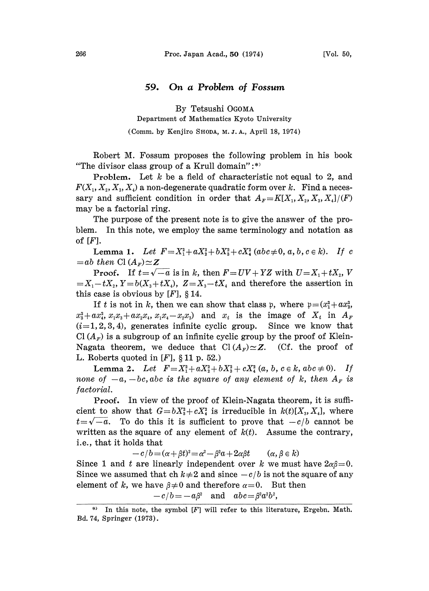## 59. On a Problem of Fossum

By Tetsushi OGOMA

Department of Mathematics Kyoto University

## (Comm. by Kenjiro SHODA, M. J. A., April 18, 1974)

Robert M. Fossum proposes the following problem in his book "The divisor class group of a Krull domain":\*)

**Problem.** Let  $k$  be a field of characteristic not equal to 2, and  $F(X_1, X_2, X_3, X_4)$  a non-degenerate quadratic form over k. Find a necessary and sufficient condition in order that  $A_F=K[X_1, X_2, X_3, X_4]/(F)$ may be a factorial ring.

The purpose of the present note is to give the answer of the problem. In this note, we employ the same terminology and notation as of  $[F]$ .

Lemma 1. Let  $F=X_1^2+aX_2^2+bX_3^2+cX_4^2(abc\neq0, a, b, c \in k)$ . If c  $=$ ab then Cl $(A_{\scriptscriptstyle F}) \simeq Z$ 

**Proof.** If  $t = \sqrt{-a}$  is in k, then  $F = UV + YZ$  with  $U = X_1 + tX_2$ , V  $X_1 - tX_2$ ,  $Y = b(X_3 + tX_4)$ ,  $Z = X_3 - tX_4$  and therefore the assertion in this case is obvious by  $[F]$ , § 14.

If t is not in k, then we can show that class p, where  $p=(x_1^2+ax_2^2,$  $x_3^2+ax_4^2$ ,  $x_1x_3+ax_2x_4$ ,  $x_1x_4-x_2x_3$ ) and  $x_i$  is the image of  $X_i$  in  $A_r$  $(i=1,2,3,4)$ , generates infinite cyclic group. Since we know that Cl  $(A<sub>F</sub>)$  is a subgroup of an infinite cyclic group by the proof of Klein-Nagata theorem, we deduce that  $Cl(A_F) \simeq Z$ . (Cf. the proof of L. Roberts quoted in  $[F]$ , § 11 p. 52.)

Lemma 2. Let  $F = X_1^2 + aX_2^2 + bX_3^2 + cX_4^2$   $(a, b, c \in k, abc \neq 0)$ . If none of  $-a$ ,  $-bc$ , abc is the square of any element of k, then  $A_F$  is factorial.

Proof. In view of the proof of Klein-Nagata theorem, it is sufficient to show that  $G = bX_3^2 + cX_4^2$  is irreducible in  $k(t)[X_3, X_4]$ , where  $t=\sqrt{-a}$ . To do this it is sufficient to prove that  $-c/b$  cannot be written as the square of any element of  $k(t)$ . Assume the contrary, i.e., that it holds that

 $-c/b = (\alpha + \beta t)^2 = \alpha^2 - \beta^2 a + 2\alpha\beta t \qquad (\alpha, \beta \in k)$ Since 1 and t are linearly independent over k we must have  $2\alpha\beta=0$ . Since we assumed that ch  $k\neq 2$  and since  $-c/b$  is not the square of any element of k, we have  $\beta \neq 0$  and therefore  $\alpha=0$ . But then

$$
-c/b\!=\!-a\beta^{\scriptscriptstyle 2} \quad \text{and} \quad abc\!=\!\beta^{\scriptscriptstyle 2} a^{\scriptscriptstyle 2} b^{\scriptscriptstyle 2},
$$

In this note, the symbol  $[F]$  will refer to this literature, Ergebn. Math. Bd. 74, Springer (1973).